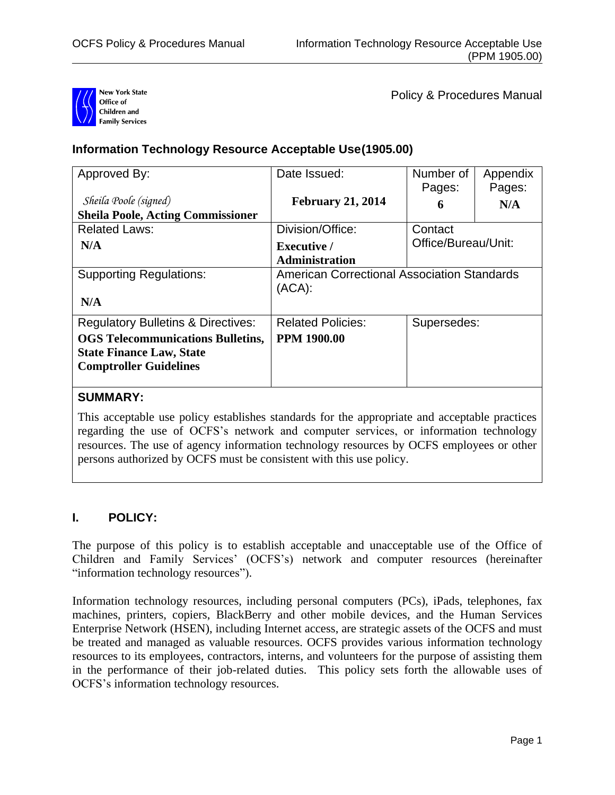

Policy & Procedures Manual

# **Information Technology Resource Acceptable Use(1905.00)**

| Approved By:                                  | Date Issued:                                                    | Number of<br>Pages:            | Appendix<br>Pages: |
|-----------------------------------------------|-----------------------------------------------------------------|--------------------------------|--------------------|
| Sheila Poole (signed)                         | <b>February 21, 2014</b>                                        | 6                              | N/A                |
| <b>Sheila Poole, Acting Commissioner</b>      |                                                                 |                                |                    |
| <b>Related Laws:</b>                          | Division/Office:                                                | Contact<br>Office/Bureau/Unit: |                    |
| N/A                                           | <b>Executive</b> /                                              |                                |                    |
|                                               | <b>Administration</b>                                           |                                |                    |
| <b>Supporting Regulations:</b>                | <b>American Correctional Association Standards</b><br>$(ACA)$ : |                                |                    |
| N/A                                           |                                                                 |                                |                    |
| <b>Regulatory Bulletins &amp; Directives:</b> | <b>Related Policies:</b>                                        | Supersedes:                    |                    |
| <b>OGS</b> Telecommunications Bulletins,      | <b>PPM 1900.00</b>                                              |                                |                    |
| <b>State Finance Law, State</b>               |                                                                 |                                |                    |
| <b>Comptroller Guidelines</b>                 |                                                                 |                                |                    |
|                                               |                                                                 |                                |                    |

## **SUMMARY:**

This acceptable use policy establishes standards for the appropriate and acceptable practices regarding the use of OCFS's network and computer services, or information technology resources. The use of agency information technology resources by OCFS employees or other persons authorized by OCFS must be consistent with this use policy.

## **I. POLICY:**

The purpose of this policy is to establish acceptable and unacceptable use of the Office of Children and Family Services' (OCFS's) network and computer resources (hereinafter "information technology resources").

Information technology resources, including personal computers (PCs), iPads, telephones, fax machines, printers, copiers, BlackBerry and other mobile devices, and the Human Services Enterprise Network (HSEN), including Internet access, are strategic assets of the OCFS and must be treated and managed as valuable resources. OCFS provides various information technology resources to its employees, contractors, interns, and volunteers for the purpose of assisting them in the performance of their job-related duties. This policy sets forth the allowable uses of OCFS's information technology resources.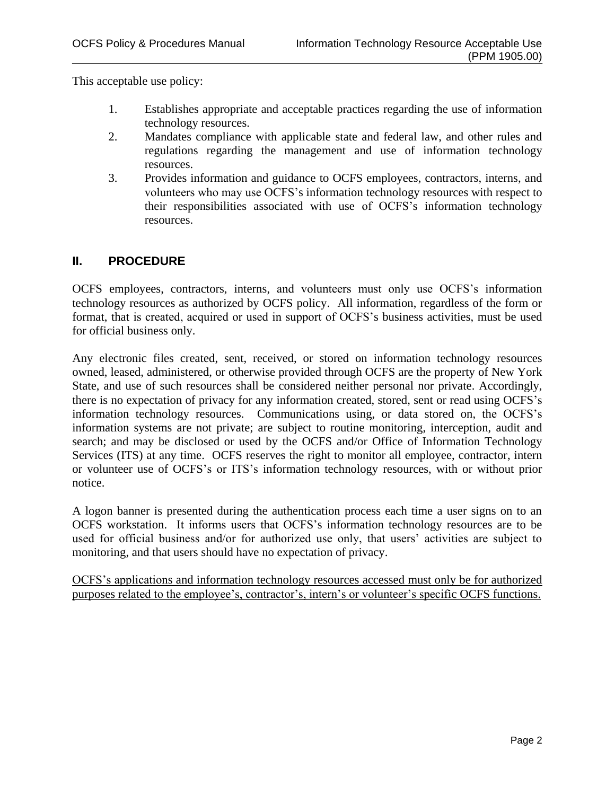This acceptable use policy:

- 1. Establishes appropriate and acceptable practices regarding the use of information technology resources.
- 2. Mandates compliance with applicable state and federal law, and other rules and regulations regarding the management and use of information technology resources.
- 3. Provides information and guidance to OCFS employees, contractors, interns, and volunteers who may use OCFS's information technology resources with respect to their responsibilities associated with use of OCFS's information technology resources.

## **II. PROCEDURE**

OCFS employees, contractors, interns, and volunteers must only use OCFS's information technology resources as authorized by OCFS policy. All information, regardless of the form or format, that is created, acquired or used in support of OCFS's business activities, must be used for official business only.

Any electronic files created, sent, received, or stored on information technology resources owned, leased, administered, or otherwise provided through OCFS are the property of New York State, and use of such resources shall be considered neither personal nor private. Accordingly, there is no expectation of privacy for any information created, stored, sent or read using OCFS's information technology resources. Communications using, or data stored on, the OCFS's information systems are not private; are subject to routine monitoring, interception, audit and search; and may be disclosed or used by the OCFS and/or Office of Information Technology Services (ITS) at any time. OCFS reserves the right to monitor all employee, contractor, intern or volunteer use of OCFS's or ITS's information technology resources, with or without prior notice.

A logon banner is presented during the authentication process each time a user signs on to an OCFS workstation. It informs users that OCFS's information technology resources are to be used for official business and/or for authorized use only, that users' activities are subject to monitoring, and that users should have no expectation of privacy.

OCFS's applications and information technology resources accessed must only be for authorized purposes related to the employee's, contractor's, intern's or volunteer's specific OCFS functions.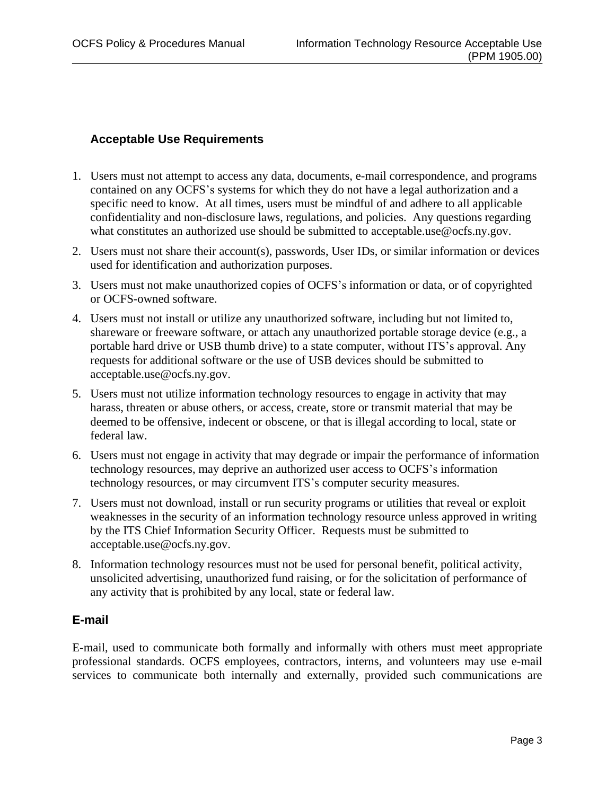## **Acceptable Use Requirements**

- 1. Users must not attempt to access any data, documents, e-mail correspondence, and programs contained on any OCFS's systems for which they do not have a legal authorization and a specific need to know. At all times, users must be mindful of and adhere to all applicable confidentiality and non-disclosure laws, regulations, and policies. Any questions regarding what constitutes an authorized use should be submitted to [acceptable.use@ocfs.ny.gov.](mailto:acceptable.use@ocfs.ny.gov)
- 2. Users must not share their account(s), passwords, User IDs, or similar information or devices used for identification and authorization purposes.
- 3. Users must not make unauthorized copies of OCFS's information or data, or of copyrighted or OCFS-owned software.
- 4. Users must not install or utilize any unauthorized software, including but not limited to, shareware or freeware software, or attach any unauthorized portable storage device (e.g., a portable hard drive or USB thumb drive) to a state computer, without ITS's approval. Any requests for additional software or the use of USB devices should be submitted to [acceptable.use@ocfs.ny.gov.](mailto:acceptable.use@ocfs.ny.gov)
- 5. Users must not utilize information technology resources to engage in activity that may harass, threaten or abuse others, or access, create, store or transmit material that may be deemed to be offensive, indecent or obscene, or that is illegal according to local, state or federal law.
- 6. Users must not engage in activity that may degrade or impair the performance of information technology resources, may deprive an authorized user access to OCFS's information technology resources, or may circumvent ITS's computer security measures.
- 7. Users must not download, install or run security programs or utilities that reveal or exploit weaknesses in the security of an information technology resource unless approved in writing by the ITS Chief Information Security Officer. Requests must be submitted to [acceptable.use@ocfs.ny.gov.](mailto:acceptable.use@ocfs.ny.gov)
- 8. Information technology resources must not be used for personal benefit, political activity, unsolicited advertising, unauthorized fund raising, or for the solicitation of performance of any activity that is prohibited by any local, state or federal law.

## **E-mail**

E-mail, used to communicate both formally and informally with others must meet appropriate professional standards. OCFS employees, contractors, interns, and volunteers may use e-mail services to communicate both internally and externally, provided such communications are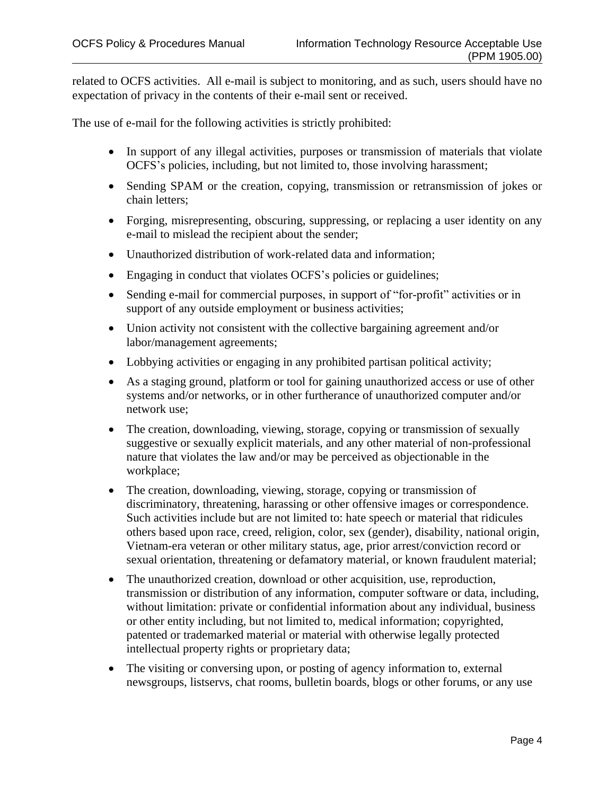related to OCFS activities. All e-mail is subject to monitoring, and as such, users should have no expectation of privacy in the contents of their e-mail sent or received.

The use of e-mail for the following activities is strictly prohibited:

- In support of any illegal activities, purposes or transmission of materials that violate OCFS's policies, including, but not limited to, those involving harassment;
- Sending SPAM or the creation, copying, transmission or retransmission of jokes or chain letters;
- Forging, misrepresenting, obscuring, suppressing, or replacing a user identity on any e-mail to mislead the recipient about the sender;
- Unauthorized distribution of work-related data and information;
- Engaging in conduct that violates OCFS's policies or guidelines;
- Sending e-mail for commercial purposes, in support of "for-profit" activities or in support of any outside employment or business activities;
- Union activity not consistent with the collective bargaining agreement and/or labor/management agreements;
- Lobbying activities or engaging in any prohibited partisan political activity;
- As a staging ground, platform or tool for gaining unauthorized access or use of other systems and/or networks, or in other furtherance of unauthorized computer and/or network use;
- The creation, downloading, viewing, storage, copying or transmission of sexually suggestive or sexually explicit materials, and any other material of non-professional nature that violates the law and/or may be perceived as objectionable in the workplace;
- The creation, downloading, viewing, storage, copying or transmission of discriminatory, threatening, harassing or other offensive images or correspondence. Such activities include but are not limited to: hate speech or material that ridicules others based upon race, creed, religion, color, sex (gender), disability, national origin, Vietnam-era veteran or other military status, age, prior arrest/conviction record or sexual orientation, threatening or defamatory material, or known fraudulent material;
- The unauthorized creation, download or other acquisition, use, reproduction, transmission or distribution of any information, computer software or data, including, without limitation: private or confidential information about any individual, business or other entity including, but not limited to, medical information; copyrighted, patented or trademarked material or material with otherwise legally protected intellectual property rights or proprietary data;
- The visiting or conversing upon, or posting of agency information to, external newsgroups, listservs, chat rooms, bulletin boards, blogs or other forums, or any use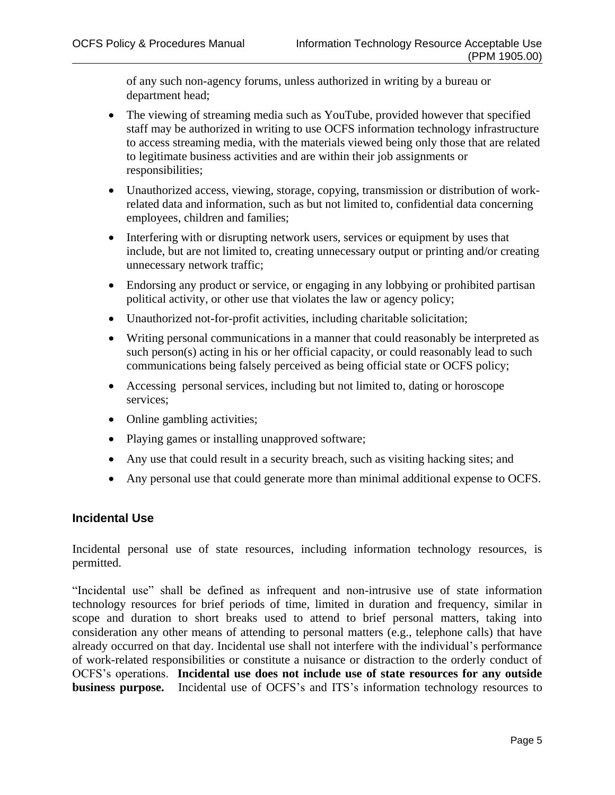of any such non-agency forums, unless authorized in writing by a bureau or department head;

- The viewing of streaming media such as YouTube, provided however that specified staff may be authorized in writing to use OCFS information technology infrastructure to access streaming media, with the materials viewed being only those that are related to legitimate business activities and are within their job assignments or responsibilities;
- Unauthorized access, viewing, storage, copying, transmission or distribution of workrelated data and information, such as but not limited to, confidential data concerning employees, children and families;
- Interfering with or disrupting network users, services or equipment by uses that include, but are not limited to, creating unnecessary output or printing and/or creating unnecessary network traffic;
- Endorsing any product or service, or engaging in any lobbying or prohibited partisan political activity, or other use that violates the law or agency policy;
- Unauthorized not-for-profit activities, including charitable solicitation;
- Writing personal communications in a manner that could reasonably be interpreted as such person(s) acting in his or her official capacity, or could reasonably lead to such communications being falsely perceived as being official state or OCFS policy;
- Accessing personal services, including but not limited to, dating or horoscope services;
- Online gambling activities;
- Playing games or installing unapproved software;
- Any use that could result in a security breach, such as visiting hacking sites; and
- Any personal use that could generate more than minimal additional expense to OCFS.

## **Incidental Use**

Incidental personal use of state resources, including information technology resources, is permitted.

"Incidental use" shall be defined as infrequent and non-intrusive use of state information technology resources for brief periods of time, limited in duration and frequency, similar in scope and duration to short breaks used to attend to brief personal matters, taking into consideration any other means of attending to personal matters (e.g., telephone calls) that have already occurred on that day. Incidental use shall not interfere with the individual's performance of work-related responsibilities or constitute a nuisance or distraction to the orderly conduct of OCFS's operations. **Incidental use does not include use of state resources for any outside business purpose.** Incidental use of OCFS's and ITS's information technology resources to